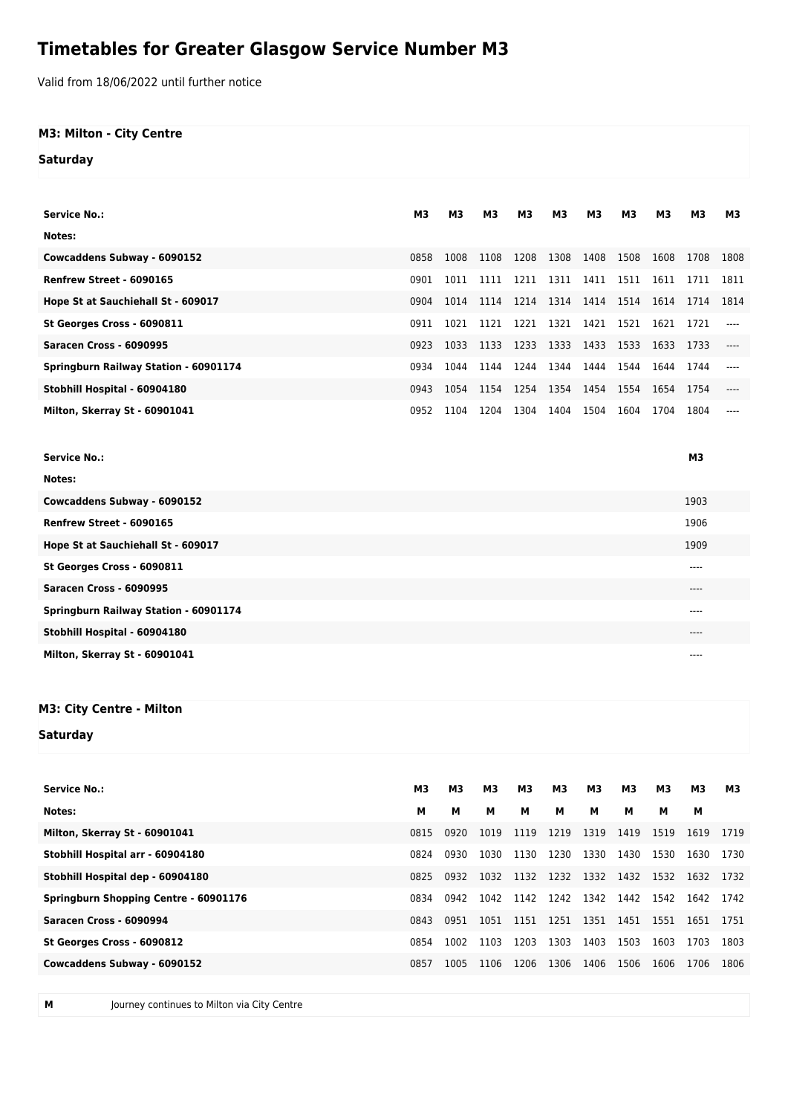## **Timetables for Greater Glasgow Service Number M3**

Valid from 18/06/2022 until further notice

## **M3: Milton - City Centre**

**Saturday**

| <b>Service No.:</b>                   | M <sub>3</sub> | M <sub>3</sub> | M <sub>3</sub> | M3   | M <sub>3</sub> | M <sub>3</sub> | M <sub>3</sub> | <b>M3</b> | M3        | <b>M3</b> |
|---------------------------------------|----------------|----------------|----------------|------|----------------|----------------|----------------|-----------|-----------|-----------|
| Notes:                                |                |                |                |      |                |                |                |           |           |           |
| Cowcaddens Subway - 6090152           | 0858           | 1008           | 1108           | 1208 | 1308           | 1408           | 1508           | 1608      | 1708      | 1808      |
| Renfrew Street - 6090165              | 0901           | 1011           | 1111           | 1211 | 1311           | 1411           | 1511           | 1611      | 1711      | 1811      |
| Hope St at Sauchiehall St - 609017    | 0904           | 1014           | 1114           | 1214 | 1314           | 1414           | 1514           | 1614      | 1714      | 1814      |
| St Georges Cross - 6090811            | 0911           | 1021           | 1121           | 1221 | 1321           | 1421           | 1521           | 1621      | 1721      | ----      |
| Saracen Cross - 6090995               | 0923           | 1033           | 1133           | 1233 | 1333           | 1433           | 1533           | 1633      | 1733      | ----      |
| Springburn Railway Station - 60901174 | 0934           | 1044           | 1144           | 1244 | 1344           | 1444           | 1544           | 1644      | 1744      |           |
| Stobhill Hospital - 60904180          | 0943           | 1054           | 1154           | 1254 | 1354 1454      |                | 1554           | 1654      | 1754      |           |
| Milton, Skerray St - 60901041         | 0952           | 1104           | 1204           | 1304 | 1404           | 1504           | 1604           | 1704      | 1804      |           |
|                                       |                |                |                |      |                |                |                |           |           |           |
| <b>Service No.:</b>                   |                |                |                |      |                |                |                |           | <b>M3</b> |           |
| Notes:                                |                |                |                |      |                |                |                |           |           |           |
| Cowcaddens Subway - 6090152           |                |                |                |      |                |                |                |           | 1903      |           |
| Renfrew Street - 6090165              |                |                |                |      |                |                |                |           | 1906      |           |
| Hope St at Sauchiehall St - 609017    |                |                |                |      |                |                |                |           | 1909      |           |
| St Georges Cross - 6090811            |                |                |                |      |                |                |                |           | ----      |           |
| Saracen Cross - 6090995               |                |                |                |      |                |                |                |           | $---$     |           |
| Springburn Railway Station - 60901174 |                |                |                |      |                |                |                |           | ----      |           |

**Stobhill Hospital - 60904180** 

**M3: City Centre - Milton**

**Saturday**

| <b>Service No.:</b>                          | M3   | <b>M3</b> | M <sub>3</sub> | <b>M3</b> | M3        | <b>M3</b> | <b>M3</b> | Μ3   | Μ3   | М3   |
|----------------------------------------------|------|-----------|----------------|-----------|-----------|-----------|-----------|------|------|------|
| Notes:                                       | м    | м         | м              | м         | м         | м         | м         | м    | м    |      |
| Milton, Skerray St - 60901041                | 0815 | 0920      | 1019           | 1119      | 1219      | 1319      | 1419      | 1519 | 1619 | 1719 |
| Stobhill Hospital arr - 60904180             | 0824 | 0930      | 1030           | 1130      | 1230      | 1330      | 1430      | 1530 | 1630 | 1730 |
| Stobhill Hospital dep - 60904180             | 0825 | 0932      | 1032           | 1132      | 1232 1332 |           | 1432      | 1532 | 1632 | 1732 |
| <b>Springburn Shopping Centre - 60901176</b> | 0834 | 0942      | 1042           | 1142      | 1242 1342 |           | 1442      | 1542 | 1642 | 1742 |
| Saracen Cross - 6090994                      | 0843 | 0951      | 1051           | 1151      | 1251      | 1351      | 1451      | 1551 | 1651 | 1751 |
| St Georges Cross - 6090812                   | 0854 | 1002      | 1103           | 1203      | 1303      | 1403      | 1503      | 1603 | 1703 | 1803 |
| Cowcaddens Subway - 6090152                  | 0857 | 1005      | 1106           | 1206      | 1306      | 1406      | 1506      | 1606 | 1706 | 1806 |
|                                              |      |           |                |           |           |           |           |      |      |      |

**Milton, Skerray St - 60901041**  $\cdots$